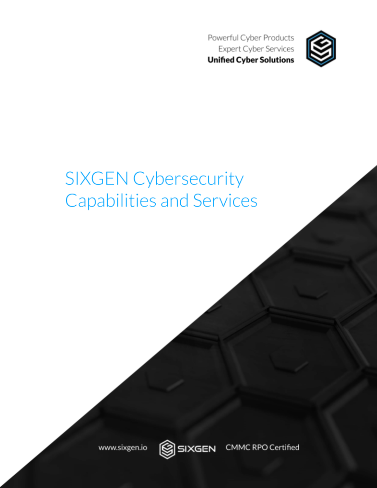Powerful Cyber Products **Expert Cyber Services Unified Cyber Solutions** 



# **SIXGEN Cybersecurity Capabilities and Services**

www.sixgen.io



**CMMC RPO Certified** SIXGEN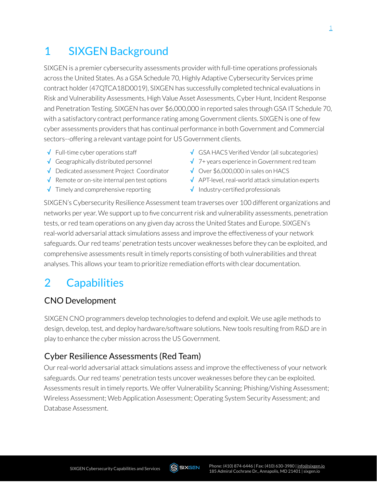## 1 SIXGEN Background

SIXGEN is a premier cybersecurity assessments provider with full-time operations professionals across the United States. As a GSA Schedule 70, Highly Adaptive Cybersecurity Services prime contract holder(47QTCA18D0019), SIXGEN has successfully completed technical evaluations in Risk and Vulnerability Assessments, High Value Asset Assessments, Cyber Hunt, Incident Response and Penetration Testing. SIXGEN has over \$6,000,000 in reported sales through GSA IT Schedule 70, with a satisfactory contract performance rating among Government clients. SIXGEN is one of few cyber assessments providers that has continual performance in both Government and Commercial sectors--offering a relevant vantage point for US Government clients.

- **√** Full-time cyber operations staff
- **√** Geographically distributed personnel
- **√** Dedicated assessment Project Coordinator
- **√** Remote or on-site internal pen test options
- **√** Timely and comprehensive reporting
- **√** GSA HACS Verified Vendor(all subcategories)
- **√** 7+ years experience in Government red team
- **√** Over \$6,000,000 in sales on HACS
- ↓ APT-level, real-world attack simulation experts
- **√** Industry-certified professionals

SIXGEN's Cybersecurity Resilience Assessment team traverses over 100 different organizations and networks per year. We support up to five concurrent risk and vulnerability assessments, penetration tests, or red team operations on any given day across the United States and Europe. SIXGEN's real-world adversarial attack simulations assess and improve the effectiveness of your network safeguards. Our red teams' penetration tests uncover weaknesses before they can be exploited, and comprehensive assessments result in timely reports consisting of both vulnerabilities and threat analyses. This allows your team to prioritize remediation efforts with clear documentation.

## 2 Capabilities

#### CNO Development

SIXGEN CNO programmers develop technologies to defend and exploit. We use agile methods to design, develop, test, and deploy hardware/software solutions. New tools resulting from R&D are in play to enhance the cyber mission across the US Government.

#### Cyber Resilience Assessments (Red Team)

Ourreal-world adversarial attack simulations assess and improve the effectiveness of your network safeguards. Our red teams' penetration tests uncover weaknesses before they can be exploited. Assessments result in timely reports. We offer Vulnerability Scanning; Phishing/Vishing Assessment; Wireless Assessment; Web Application Assessment; Operating System Security Assessment; and Database Assessment.